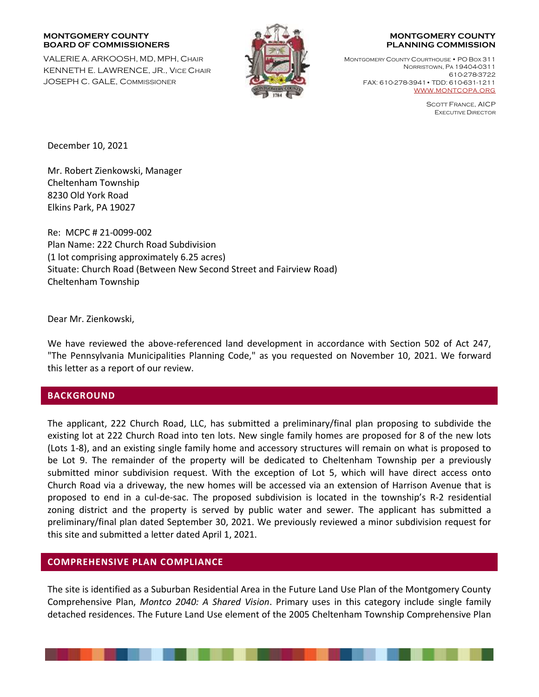#### **MONTGOMERY COUNTY BOARD OF COMMISSIONERS**

VALERIE A. ARKOOSH, MD, MPH, CHAIR KENNETH E. LAWRENCE, JR., VICE CHAIR JOSEPH C. GALE, COMMISSIONER



#### **MONTGOMERY COUNTY PLANNING COMMISSION**

MONTGOMERY COUNTY COURTHOUSE • PO BOX 311 NORRISTOWN, PA 19404-0311 610-278-3722 FAX: 610-278-3941• TDD: 610-631-1211 [WWW.MONTCOPA.ORG](http://www.montcopa.org/)

> SCOTT FRANCE, AICP EXECUTIVE DIRECTOR

December 10, 2021

Mr. Robert Zienkowski, Manager Cheltenham Township 8230 Old York Road Elkins Park, PA 19027

Re: MCPC # 21-0099-002 Plan Name: 222 Church Road Subdivision (1 lot comprising approximately 6.25 acres) Situate: Church Road (Between New Second Street and Fairview Road) Cheltenham Township

Dear Mr. Zienkowski,

We have reviewed the above-referenced land development in accordance with Section 502 of Act 247, "The Pennsylvania Municipalities Planning Code," as you requested on November 10, 2021. We forward this letter as a report of our review.

# **BACKGROUND**

The applicant, 222 Church Road, LLC, has submitted a preliminary/final plan proposing to subdivide the existing lot at 222 Church Road into ten lots. New single family homes are proposed for 8 of the new lots (Lots 1-8), and an existing single family home and accessory structures will remain on what is proposed to be Lot 9. The remainder of the property will be dedicated to Cheltenham Township per a previously submitted minor subdivision request. With the exception of Lot 5, which will have direct access onto Church Road via a driveway, the new homes will be accessed via an extension of Harrison Avenue that is proposed to end in a cul-de-sac. The proposed subdivision is located in the township's R-2 residential zoning district and the property is served by public water and sewer. The applicant has submitted a preliminary/final plan dated September 30, 2021. We previously reviewed a minor subdivision request for this site and submitted a letter dated April 1, 2021.

# **COMPREHENSIVE PLAN COMPLIANCE**

The site is identified as a Suburban Residential Area in the Future Land Use Plan of the Montgomery County Comprehensive Plan, *Montco 2040: A Shared Vision*. Primary uses in this category include single family detached residences. The Future Land Use element of the 2005 Cheltenham Township Comprehensive Plan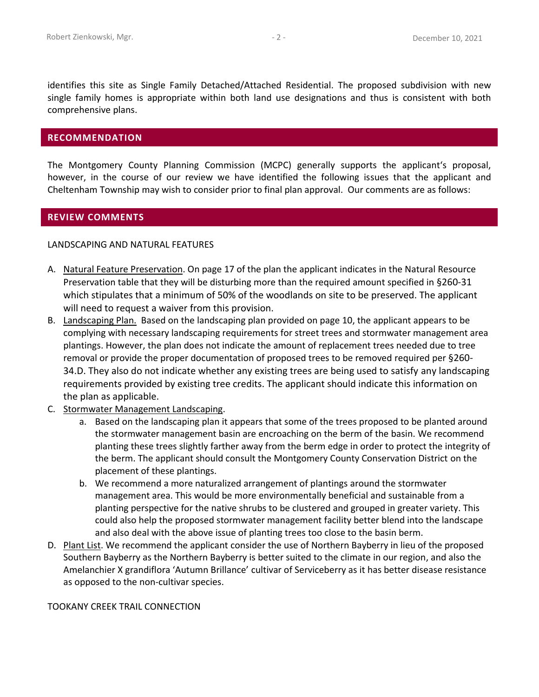identifies this site as Single Family Detached/Attached Residential. The proposed subdivision with new single family homes is appropriate within both land use designations and thus is consistent with both comprehensive plans.

## **RECOMMENDATION**

The Montgomery County Planning Commission (MCPC) generally supports the applicant's proposal, however, in the course of our review we have identified the following issues that the applicant and Cheltenham Township may wish to consider prior to final plan approval. Our comments are as follows:

## **REVIEW COMMENTS**

### LANDSCAPING AND NATURAL FEATURES

- A. Natural Feature Preservation. On page 17 of the plan the applicant indicates in the Natural Resource Preservation table that they will be disturbing more than the required amount specified in §260-31 which stipulates that a minimum of 50% of the woodlands on site to be preserved. The applicant will need to request a waiver from this provision.
- B. Landscaping Plan. Based on the landscaping plan provided on page 10, the applicant appears to be complying with necessary landscaping requirements for street trees and stormwater management area plantings. However, the plan does not indicate the amount of replacement trees needed due to tree removal or provide the proper documentation of proposed trees to be removed required per §260- 34.D. They also do not indicate whether any existing trees are being used to satisfy any landscaping requirements provided by existing tree credits. The applicant should indicate this information on the plan as applicable.
- C. Stormwater Management Landscaping.
	- a. Based on the landscaping plan it appears that some of the trees proposed to be planted around the stormwater management basin are encroaching on the berm of the basin. We recommend planting these trees slightly farther away from the berm edge in order to protect the integrity of the berm. The applicant should consult the Montgomery County Conservation District on the placement of these plantings.
	- b. We recommend a more naturalized arrangement of plantings around the stormwater management area. This would be more environmentally beneficial and sustainable from a planting perspective for the native shrubs to be clustered and grouped in greater variety. This could also help the proposed stormwater management facility better blend into the landscape and also deal with the above issue of planting trees too close to the basin berm.
- D. Plant List. We recommend the applicant consider the use of Northern Bayberry in lieu of the proposed Southern Bayberry as the Northern Bayberry is better suited to the climate in our region, and also the Amelanchier X grandiflora 'Autumn Brillance' cultivar of Serviceberry as it has better disease resistance as opposed to the non-cultivar species.

TOOKANY CREEK TRAIL CONNECTION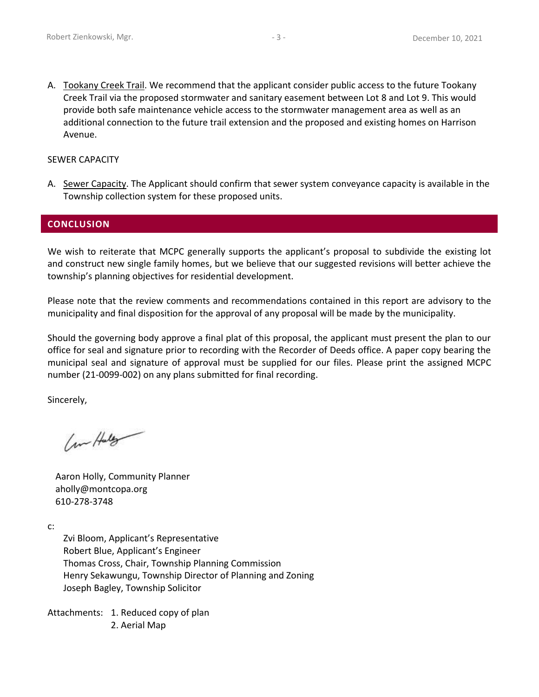A. Tookany Creek Trail. We recommend that the applicant consider public access to the future Tookany Creek Trail via the proposed stormwater and sanitary easement between Lot 8 and Lot 9. This would provide both safe maintenance vehicle access to the stormwater management area as well as an additional connection to the future trail extension and the proposed and existing homes on Harrison Avenue.

## SEWER CAPACITY

A. Sewer Capacity. The Applicant should confirm that sewer system conveyance capacity is available in the Township collection system for these proposed units.

## **CONCLUSION**

We wish to reiterate that MCPC generally supports the applicant's proposal to subdivide the existing lot and construct new single family homes, but we believe that our suggested revisions will better achieve the township's planning objectives for residential development.

Please note that the review comments and recommendations contained in this report are advisory to the municipality and final disposition for the approval of any proposal will be made by the municipality.

Should the governing body approve a final plat of this proposal, the applicant must present the plan to our office for seal and signature prior to recording with the Recorder of Deeds office. A paper copy bearing the municipal seal and signature of approval must be supplied for our files. Please print the assigned MCPC number (21-0099-002) on any plans submitted for final recording.

Sincerely,

Com Hully

Aaron Holly, Community Planner aholly@montcopa.org 610-278-3748

c:

Zvi Bloom, Applicant's Representative Robert Blue, Applicant's Engineer Thomas Cross, Chair, Township Planning Commission Henry Sekawungu, Township Director of Planning and Zoning Joseph Bagley, Township Solicitor

Attachments: 1. Reduced copy of plan 2. Aerial Map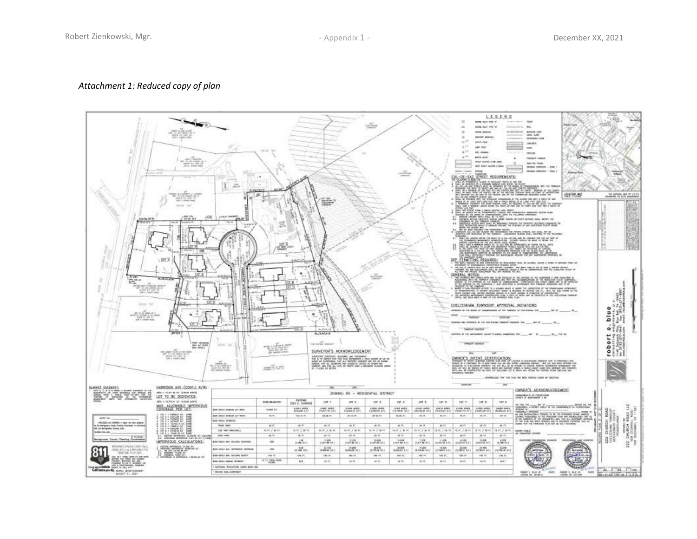### *Attachment 1: Reduced copy of plan*